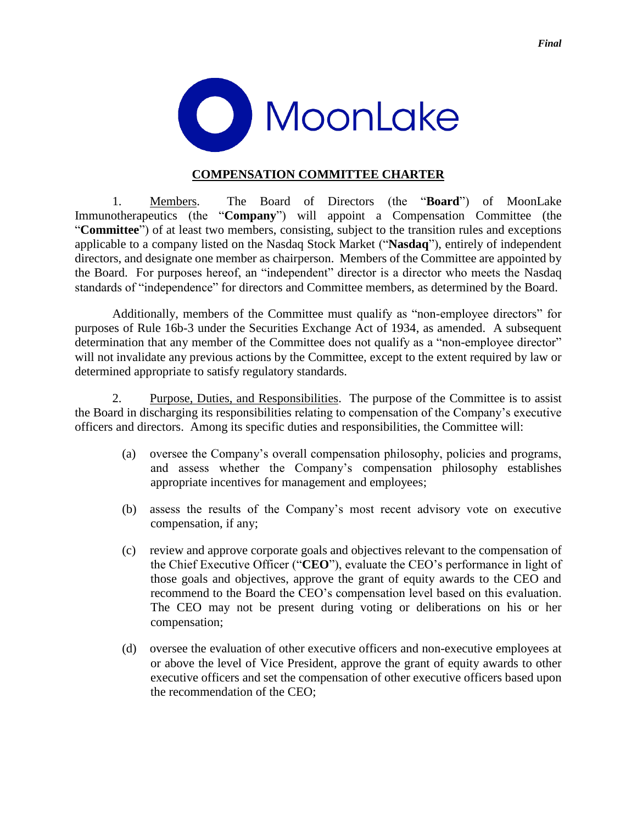

## **COMPENSATION COMMITTEE CHARTER**

1. Members. The Board of Directors (the "**Board**") of MoonLake Immunotherapeutics (the "**Company**") will appoint a Compensation Committee (the "**Committee**") of at least two members, consisting, subject to the transition rules and exceptions applicable to a company listed on the Nasdaq Stock Market ("**Nasdaq**"), entirely of independent directors, and designate one member as chairperson. Members of the Committee are appointed by the Board. For purposes hereof, an "independent" director is a director who meets the Nasdaq standards of "independence" for directors and Committee members, as determined by the Board.

Additionally, members of the Committee must qualify as "non-employee directors" for purposes of Rule 16b-3 under the Securities Exchange Act of 1934, as amended. A subsequent determination that any member of the Committee does not qualify as a "non-employee director" will not invalidate any previous actions by the Committee, except to the extent required by law or determined appropriate to satisfy regulatory standards.

2. Purpose, Duties, and Responsibilities. The purpose of the Committee is to assist the Board in discharging its responsibilities relating to compensation of the Company's executive officers and directors. Among its specific duties and responsibilities, the Committee will:

- (a) oversee the Company's overall compensation philosophy, policies and programs, and assess whether the Company's compensation philosophy establishes appropriate incentives for management and employees;
- (b) assess the results of the Company's most recent advisory vote on executive compensation, if any;
- (c) review and approve corporate goals and objectives relevant to the compensation of the Chief Executive Officer ("**CEO**"), evaluate the CEO's performance in light of those goals and objectives, approve the grant of equity awards to the CEO and recommend to the Board the CEO's compensation level based on this evaluation. The CEO may not be present during voting or deliberations on his or her compensation;
- (d) oversee the evaluation of other executive officers and non-executive employees at or above the level of Vice President, approve the grant of equity awards to other executive officers and set the compensation of other executive officers based upon the recommendation of the CEO;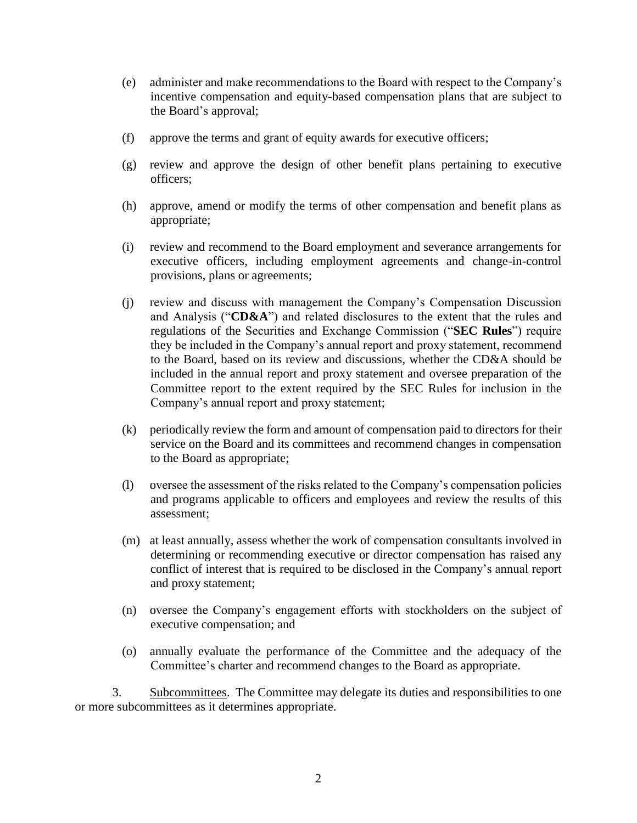- (e) administer and make recommendations to the Board with respect to the Company's incentive compensation and equity-based compensation plans that are subject to the Board's approval;
- (f) approve the terms and grant of equity awards for executive officers;
- (g) review and approve the design of other benefit plans pertaining to executive officers;
- (h) approve, amend or modify the terms of other compensation and benefit plans as appropriate;
- (i) review and recommend to the Board employment and severance arrangements for executive officers, including employment agreements and change-in-control provisions, plans or agreements;
- (j) review and discuss with management the Company's Compensation Discussion and Analysis ("**CD&A**") and related disclosures to the extent that the rules and regulations of the Securities and Exchange Commission ("**SEC Rules**") require they be included in the Company's annual report and proxy statement, recommend to the Board, based on its review and discussions, whether the CD&A should be included in the annual report and proxy statement and oversee preparation of the Committee report to the extent required by the SEC Rules for inclusion in the Company's annual report and proxy statement;
- (k) periodically review the form and amount of compensation paid to directors for their service on the Board and its committees and recommend changes in compensation to the Board as appropriate;
- (l) oversee the assessment of the risks related to the Company's compensation policies and programs applicable to officers and employees and review the results of this assessment;
- (m) at least annually, assess whether the work of compensation consultants involved in determining or recommending executive or director compensation has raised any conflict of interest that is required to be disclosed in the Company's annual report and proxy statement;
- (n) oversee the Company's engagement efforts with stockholders on the subject of executive compensation; and
- (o) annually evaluate the performance of the Committee and the adequacy of the Committee's charter and recommend changes to the Board as appropriate.

3. Subcommittees. The Committee may delegate its duties and responsibilities to one or more subcommittees as it determines appropriate.